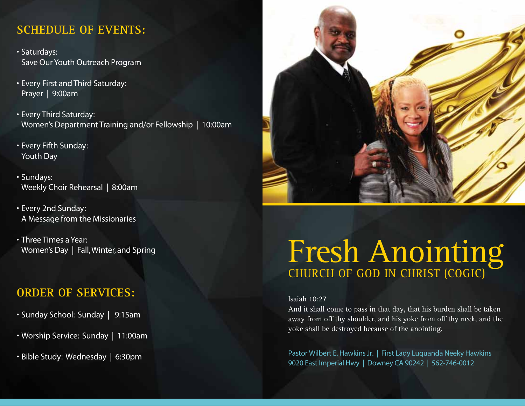### **SCHEDULE OF EVENTS:**

- • Saturdays: Save Our Youth Outreach Program
- Every First and Third Saturday: Prayer | 9:00am
- Every Third Saturday: Women's Department Training and/or Fellowship | 10:00am
- • Every Fifth Sunday: Youth Day
- • Sundays: Weekly Choir Rehearsal | 8:00am
- Every 2nd Sunday: A Message from the Missionaries
- Three Times a Year: Women's Day | Fall, Winter, and Spring

## **ORDER OF SERVICES:**

- Sunday School: Sunday | 9:15am
- • Worship Service: Sunday | 11:00am
- • Bible Study: Wednesday | 6:30pm



# Fresh Anointing CHURCH OF GOD IN CHRIST (COGIC)

#### Isaiah 10:27

And it shall come to pass in that day, that his burden shall be taken away from off thy shoulder, and his yoke from off thy neck, and the yoke shall be destroyed because of the anointing.

Pastor Wilbert E. Hawkins Jr. | First Lady Luquanda Neeky Hawkins 9020 East Imperial Hwy | Downey CA 90242 | 562-746-0012